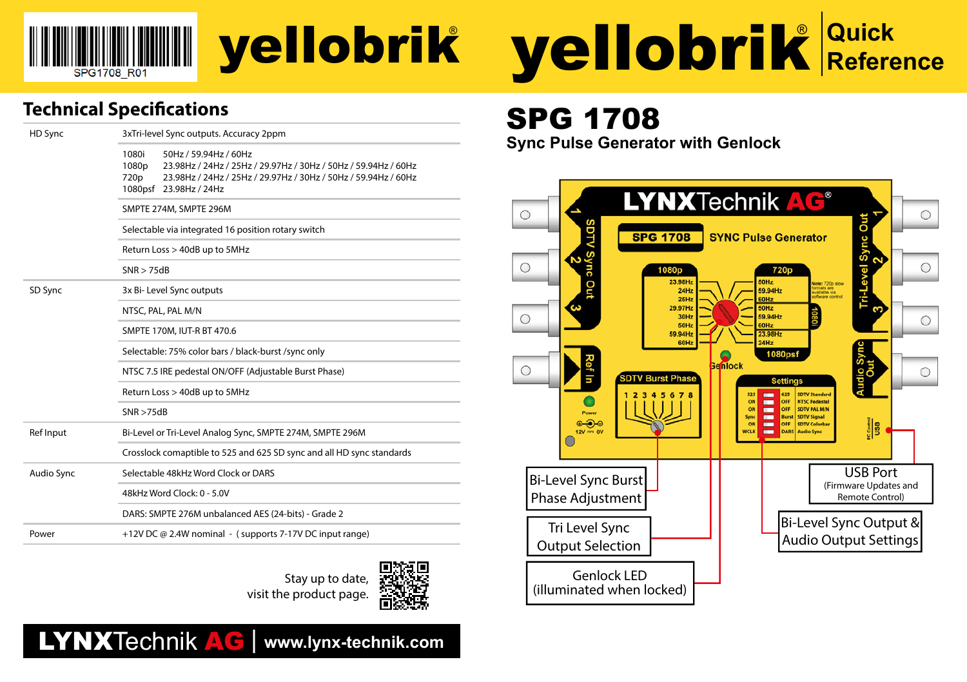

# yellobrik

### **Technical Specifications**

| HD Sync           | 3xTri-level Sync outputs. Accuracy 2ppm                                                                                                                                                                                   |  |  |  |
|-------------------|---------------------------------------------------------------------------------------------------------------------------------------------------------------------------------------------------------------------------|--|--|--|
|                   | 1080i<br>50Hz / 59.94Hz / 60Hz<br>1080 <sub>p</sub><br>23.98Hz / 24Hz / 25Hz / 29.97Hz / 30Hz / 50Hz / 59.94Hz / 60Hz<br>23.98Hz / 24Hz / 25Hz / 29.97Hz / 30Hz / 50Hz / 59.94Hz / 60Hz<br>720p<br>1080psf 23.98Hz / 24Hz |  |  |  |
|                   | SMPTE 274M, SMPTE 296M                                                                                                                                                                                                    |  |  |  |
|                   | Selectable via integrated 16 position rotary switch                                                                                                                                                                       |  |  |  |
|                   | Return Loss > 40dB up to 5MHz                                                                                                                                                                                             |  |  |  |
|                   | SNR > 75dB                                                                                                                                                                                                                |  |  |  |
| SD Sync           | 3x Bi- Level Sync outputs                                                                                                                                                                                                 |  |  |  |
|                   | NTSC, PAL, PAL M/N                                                                                                                                                                                                        |  |  |  |
|                   | SMPTE 170M, IUT-R BT 470.6                                                                                                                                                                                                |  |  |  |
|                   | Selectable: 75% color bars / black-burst /sync only                                                                                                                                                                       |  |  |  |
|                   | NTSC 7.5 IRE pedestal ON/OFF (Adjustable Burst Phase)                                                                                                                                                                     |  |  |  |
|                   | Return Loss > 40dB up to 5MHz                                                                                                                                                                                             |  |  |  |
|                   | SNR > 75dB                                                                                                                                                                                                                |  |  |  |
| Ref Input         | Bi-Level or Tri-Level Analog Sync, SMPTE 274M, SMPTE 296M                                                                                                                                                                 |  |  |  |
|                   | Crosslock comaptible to 525 and 625 SD sync and all HD sync standards                                                                                                                                                     |  |  |  |
| <b>Audio Sync</b> | Selectable 48kHz Word Clock or DARS                                                                                                                                                                                       |  |  |  |
|                   | 48kHz Word Clock: 0 - 5.0V                                                                                                                                                                                                |  |  |  |
|                   | DARS: SMPTE 276M unbalanced AES (24-bits) - Grade 2                                                                                                                                                                       |  |  |  |
| Power             | +12V DC @ 2.4W nominal - (supports 7-17V DC input range)                                                                                                                                                                  |  |  |  |





## LYNXTechnik AG | **www.lynx-technik.com**



# SPG 1708

**Sync Pulse Generator with Genlock**